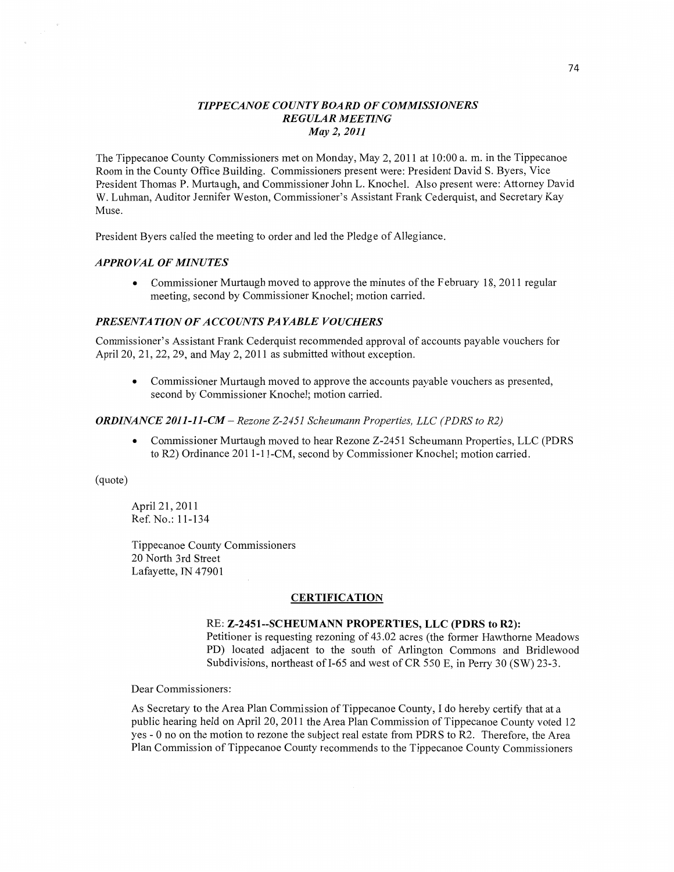### *TIPPECANOE* C0 *UNTYBOARD* OF *COMMISSIONERS REGULAR MEETING*  May 2, *2011*

The Tippecanoe County **Commissioners** met on Monday, May 2, 2011 at 10:00 a. m. in the Tippecanoe Room in the County Office Building. Commissioners present **were:** President David S. Byers, **Vice**  President Thomas P. Murtaugh, and Commissioner John L. Knochel. Also present were: Attorney David W. Luhman, Auditor Jennifer Weston, Commissioner's Assistant Frank Cederquist, and Secretary Kay Muse.

President Byers called the meeting to order and led the Pledge of Allegiance.

#### *APPROVAL* OF *MINUTES*

**0** Commissioner Murtaugh moved to approve the minutes of the February 18, 2011 regular meeting, second by Commissioner Knochel; **motion** carried.

## *PRESENTA TION* OF *ACCOUNTS* PA *YABLE VOUCHERS*

Commissioner's Assistant **Frank** Cederquist recommended approval of accounts payable vouchers for April 20, 21, 22, 29, and May 2, 2011 as submitted without exception.

**0** Commissioner Murtaugh moved to approve the accounts payable **vouchers** as presented, second by Commissioner Knochel; motion carried.

#### *ORDINANCE 2011-11-CM* — *Rezone Z-2451 Scheumann Properties,* LLC *(PDRS* to R2)

**0** Commissioner Murtaugh moved to hear Rezone Z-2451 Scheumann Properties, LLC (PDRS to R2) Ordinance 201 1-1 l-CM, second by Commissioner Knochel; motion carried.

### (quote)

Apri121, 2011 Ref. No.:11-134

Tippecanoe County **Commissioners**  20 North 3rd Street Lafayette, IN 47901

#### **CERTIFICATION**

## RE: **Z-2451--SCHEUMANN PROPERTIES,** LLC **(PDRS** to **R2):**

Petitioner is requesting rezoning of 43.02 acres (the former Hawthorne Meadows PD) located **adjacent** to the south of Arlington Commons and Bridlewood Subdivisions, northeast of 1-65 and west of CR 550 E, in Perry 30 (SW) 23-3.

Dear Commissioners:

As Secretary to the Area **Plan** Commission of Tippecanoe County, **I** do hereby certify that at <sup>a</sup> public hearing held on April 20, 2011 the Area Plan **Commission** of Tippecanoe County voted 12 yes *-* 0 no on the motion to rezone the subject real estate from PDRS to R2. Therefore, the Area Plan Commission of Tippecanoe County recommends to the Tippecanoe County Commissioners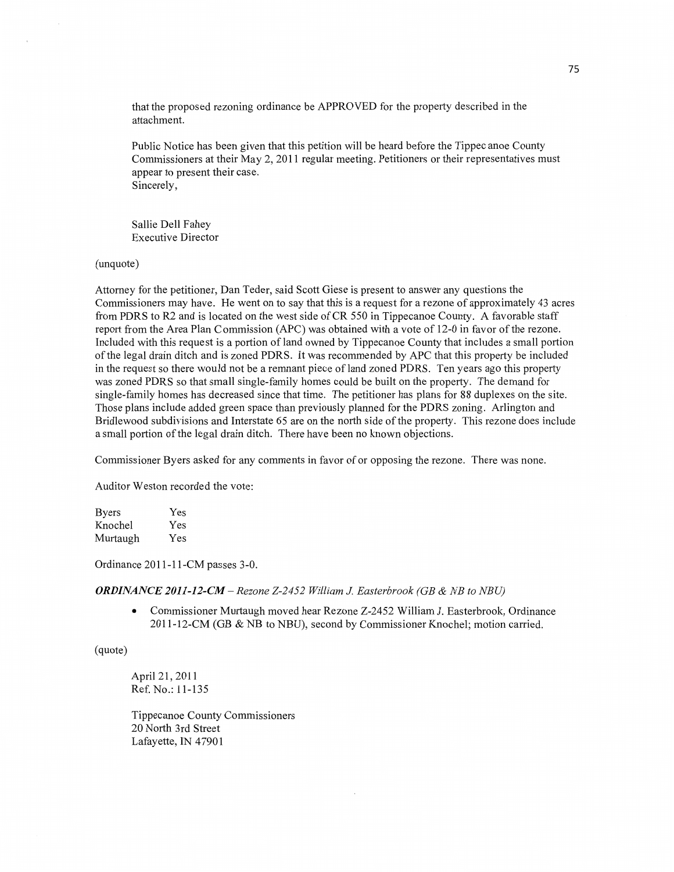that the proposed rezoning ordinance be APPROVED for the property described in the attachment.

Public Notice has been given that **this** petition will be heard before the Tippec anoe County Commissioners at their May 2, 2011 regular meeting. Petitioners or their representatives must appear to present their case. Sincerely,

Sallie Dell Fahey Executive Director

(unquote)

Attorney for the petitioner, Dan Teder, said Scott Giese is present to answer any questions the Commissioners may have. He went on to say that this is a request for a rezone of approximately 43 acres from PDRS to R2 and is located on the west side of CR 550 in Tippecanoe County. A favorable staff report from the Area **Plan** Commission **(APC)** was obtained with **a** vote of 12-0 in favor of the rezone. Included with this request is a portion of land owned by Tippecanoe County that includes **a** small portion of the legal drain ditch and is zoned PDRS. It was recommended by APC that this property be included in the request so there would not be a remnant piece of land zoned PDRS. Ten years ago this property was zoned PDRS so **that** small single-family homes could be built on the property. The demand for single-family homes has decreased since that time. The petitioner has plans for 88 duplexes on the site. Those plans include added green space **than** previously planned for the PDRS zoning. Arlington and Bridlewood subdivisions and Interstate 65 are on the north side of the property. This rezone does include a small portion of the legal drain ditch. There have been no known objections.

Commissioner Byers asked for any **comments** in favor of or opposing the rezone. There was none.

Auditor Weston recorded the vote:

| <b>Byers</b> | Yes |
|--------------|-----|
| Knochel      | Yes |
| Murtaugh     | Yes |

Ordinance 2011-11-CM passes 3-0.

*ORDINANCE 2011-12-CM* **—** *Rezone Z-2452 William* J. *Easterbrook* (GB *&* NB to *NBU)* 

**0** Commissioner Murtaugh moved hear Rezone Z-2452 William J. Easterbrook, Ordinance 2011-12-CM (GB & NB to NBU), second by Commissioner Knochel; motion carried.

(quote)

April 21, 2011 Ref. No.: 11-135

Tippecanoe County Commissioners 20 North 3rd Street Lafayette, IN 47901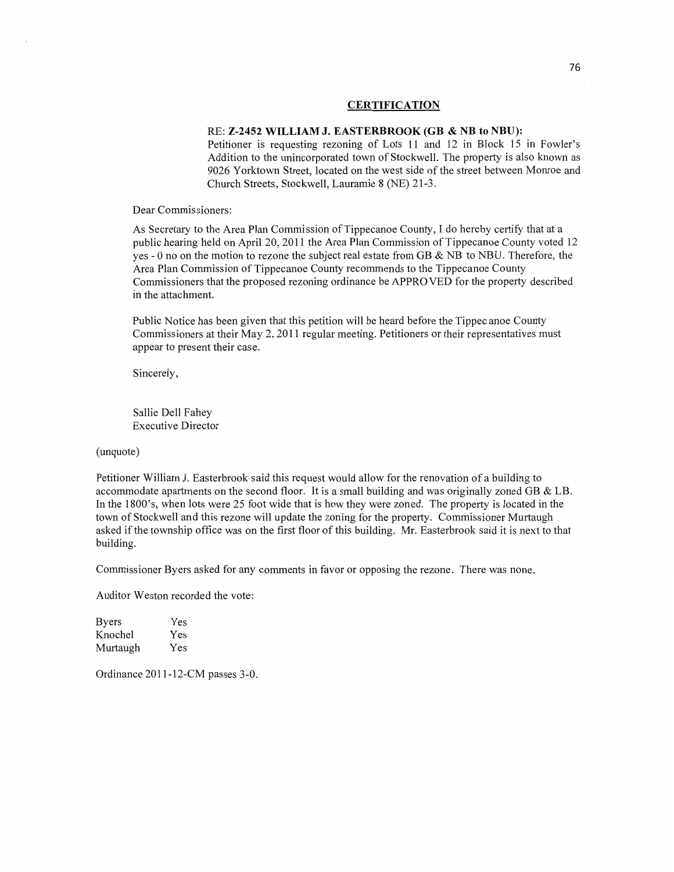#### **CERTIFICATION**

#### RE: **Z-2452 WILLIAM** J. **EASTERBROOK** (GB **&** NB to **NBU):**

Petitioner is requesting rezoning of Lots 11 and 12 in Block 15 in Fowler's Addition to the unincorporated town of Stockwell. The property is also known as 9026 Yorktown Street, located on the west **side** of the street between Monroe and Church Streets, Stockwell, Lauramie 8 (NE) 21-3.

Dear Commissioners:

As Secretary to the Area Plan Commission of Tippecanoe County, **I** do hereby certify that at **<sup>a</sup>** public hearing held on April 20, 2011 the Area Plan Commission of Tippecanoe County voted 12 yes *-* 0 no on the motion to rezone the subject real estate from GB & NB to NBU. Therefore, the Area Plan Commission of Tippecanoe County recommends to the Tippecanoe County Commissioners that the proposed rezoning ordinance be APPROVED for the property described in the attachment.

Public Notice has been given that **this** petition will be heard before the Tippec anoe County **Commissioners** at their May 2, 2011 regular meeting. Petitioners or their representatives must appear to present their **case.** 

Sincerely,

Sallie Dell Fahey Executive Director

(unquote)

Petitioner William J. Easterbrook said **this** request would allow for the renovation of a building to accommodate apartments on the second floor. It is a small building and was originally zoned GB  $&$  LB. In the 1800's, when lots were 25 foot wide that is how they were zoned. The property is located in the town of Stockwell and this rezone will update the zoning for the property. Commissioner Murtaugh asked if the township office was on the first **floor** of this building. Mr. Easterbrook said it is next to that building.

Commissioner Byers asked for any comments in favor or opposing the rezone. There was none.

Auditor Weston recorded the vote:

| <b>Byers</b> | Yes |
|--------------|-----|
| Knochel      | Yes |
| Murtaugh     | Yes |

Ordinance 2011-12-CM passes 3-0.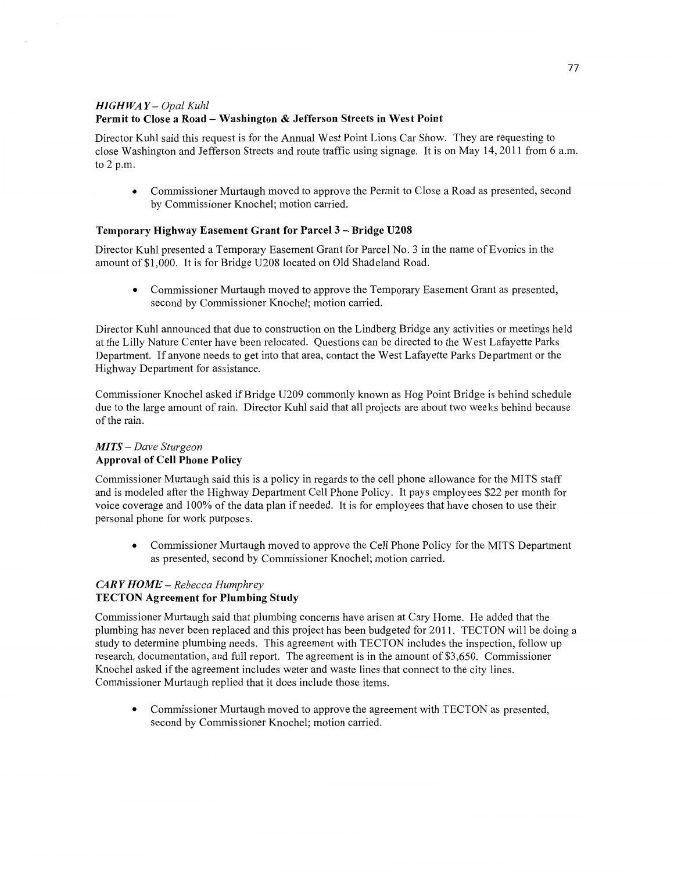# HI GH WA *Y* — *Opal Kuhl*  **Permit** to **Close a Road — Washington & Jefferson Streets** in **West Point**

Director Kuhl said this request is for the Annual West Point Lions Car Show. They are requesting to close Washington and Jefferson Streets and route traffic using signage. It is on May 14, 2011 from 6 am. to 2 p.m.

*0* Commissioner Murtaugh **moved** to approve the Permit to Close a Road as presented, second by Commissioner Knochel; motion carried.

# **Temporary Highway Easement Grant** for **Parcel 3** - **Bridge U208**

Director Kuhl presented a Temporary Easement Grant for Parcel No. 3 in the name of Evonics in the amount of \$1,000. It is for Bridge U208 located on Old Shadeland Road.

**0** Commissioner Murtaugh moved to approve the Temporary Easement Grant as presented, second by Commissioner Knochel; motion carried.

Director Kuhl announced that due to construction on the Lindberg Bridge any activities or meetings held at the Lilly Nature Center have been relocated. Questions can be directed to the West Lafayette Parks Department. If anyone needs to get **into** that area, contact the West Lafayette Parks Department or the Highway Department for assistance.

Commissioner Knochel asked if Bridge U209 commonly known as Hog Point Bridge is behind schedule due to the large amount of rain. Director Kuhl **said that** all **projects** are about two weeks behind because of the rain.

### MI TS **—** *Dave Sturgeon*  **Approval** of Cell **Phone Policy**

Commissioner Murtaugh said this is a policy in regards to the cell phone allowance for the **MITS** staff and is modeled after the Highway Department Cell Phone Policy. It pays employees \$22 per month for voice coverage and 100% of the data plan if needed. It is for employees that have chosen to use their personal phone for work purposes.

**0** Commissioner Murtaugh moved to approve the Cell Phone Policy for the **MITS** Department as presented, second by Commissioner Knochel; **motion** carried.

### *CARY HOME* — *Rebecca Humphrey*  **TECTON Agreement** for **Plumbing Study**

Commissioner Murtaugh said that plumbing concerns have arisen at Cary Home. He added that the plumbing has never been replaced and this project has **been** budgeted for 2011. TECTON will be doing **<sup>a</sup>** study to determine plumbing needs. **This** agreement with TECTON includes the inspection, follow up research, documentation, and full report. The agreement is in the amount of \$3,650. Commissioner Knochel asked if the agreement includes water and waste lines **that** connect to the city lines. Commissioner Murtaugh replied that it does include **those** items.

**0** Commissioner Murtaugh moved to approve the agreement with TECTON as presented, second by Commissioner Knochel; **motion** carried.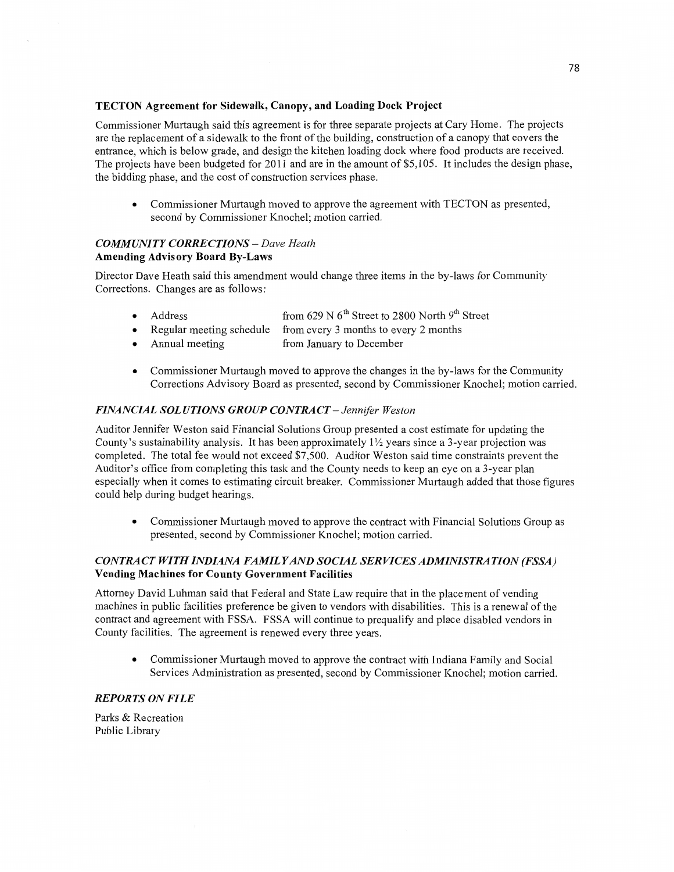#### **TECTON Agreement** for **Sidewalk, Canopy,** and **Loading Dock Project**

**Commissioner** Murtaugh said this agreement is for three separate projects at Cary Home. The projects are the replacement of a sidewalk to the front of the building, construction of a canopy **that** covers the entrance, which is below grade, and design the kitchen loading dock **where** food products are received. The projects have been budgeted for 2011 and are in the amount of \$5,105. It includes the design phase, the bidding phase, and the cost of construction services phase.

**0** Commissioner Murtaugh moved to approve the agreement with TECTON as presented, second by Commissioner Knochel; **motion** carried.

## *COMMUNITY CORRECTIONS* — *Dave Heath*  **Amending Advisory Board By-Laws**

Director Dave Heath said this amendment would change three items in the by-laws for Community Corrections. Changes are as follows:

- Address from 629 N 6<sup>th</sup> Street to 2800 North 9<sup>th</sup> Street
	- Regular meeting schedule from every 3 **months** to every 2 months
- Annual meeting from January to December
- **0** Commissioner Murtaugh moved to approve the changes in the by-laws for the Community Corrections Advisory Board as presented, second by Commissioner Knochel; motion carried.

## *FINANCIAL SOLUTIONS GROUP CONTRACT - Jennifer Weston*

Auditor Jennifer Weston said Financial Solutions Group presented **a** cost estimate for updating the County's sustainability analysis. It has been approximately  $1\frac{1}{2}$  years since a 3-year projection was completed. The total fee would not exceed \$7,500. Auditor Weston **said** time constraints prevent the Auditor's office from completing this task and the County needs to keep an eye on a 3-year plan especially when it comes to estimating circuit breaker. Commissioner Murtaugh added that those figures could help during budget hearings.

**0** Commissioner Murtaugh moved to approve the contract with Financial Solutions Group as presented, second by Commissioner Knochel; motion carried.

## *CONTRA* CT *WITH INDIANA FAMIL Y* AND *SOCIAL* SER *VICES ADMINISTRA TION (FSSA)*  **Vending Machines** for **County Government Facilities**

Attorney David **Luhman said** that Federal and State Law require that in the placement of vending machines in public facilities preference be given to vendors with disabilities. This is **a** renewal of the contract and agreement with FSSA. FSSA will continue to prequalify and place disabled vendors in County facilities. The agreement is renewed every three years.

**0** Commissioner Murtaugh moved to approve the contract with Indiana Family and Social Services Administration as presented, second by Commissioner Knochel; motion carried.

### *REPORTS* ON *FILE*

Parks & Recreation Public Library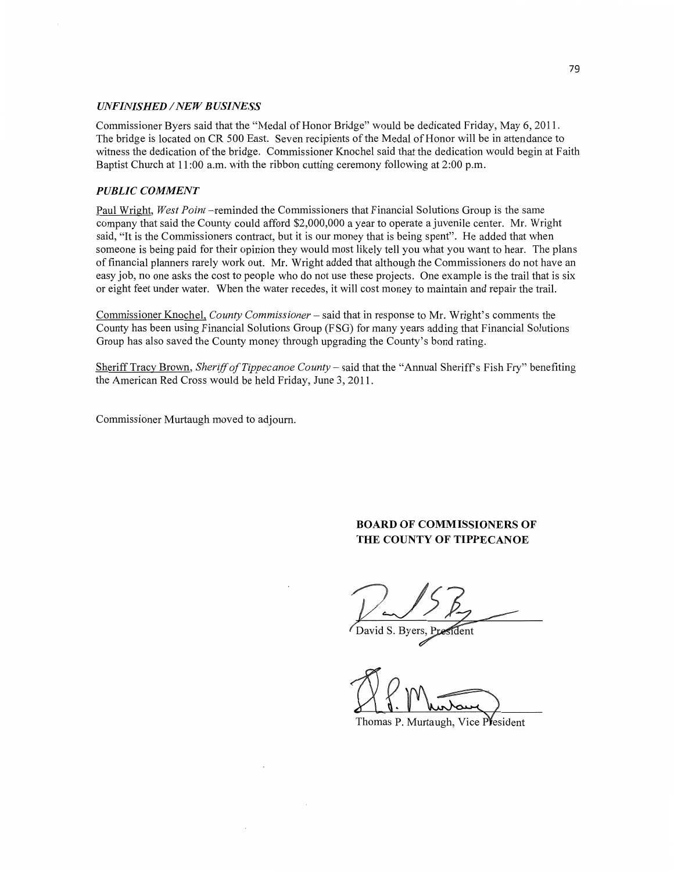#### *UNFINISHED* / NEW *B USINESS*

Commissioner Byers said that the "Medal of **Honor** Bridge" would be dedicated Friday, May 6, 2011. The bridge is located on CR 500 East. Seven recipients of the Medal of Honor will be in attendance to witness the dedication of the bridge. Commissioner Knochel said that the dedication would begin at Faith Baptist Church at 11:00 a.m. with the ribbon cutting ceremony following at 2:00 p.m.

#### *PUBLIC COMMENT*

Paul Wright, *West Point* —reminded the Commissioners **that** Financial Solutions Group is the same company that said the County could afford \$2,000,000 a year to operate a juvenile center. Mr. Wright said, "It is the Commissioners contract, but it is our money **that** is being spent". He added that when someone is being paid for their opinion they would most likely tell you what you want to hear. The plans of financial planners rarely work out. Mr. Wright added that although the Commissioners do not have an easy job, no one asks the cost to people who do not use these projects. One example is the trail that is six or eight feet under water. When the water recedes, it will cost money to maintain and repair the trail.

Commissioner Knochel, *County Commissioner* – said that in response to Mr. Wright's comments the County has been using Financial Solutions Group (F SG) for many years adding that Financial Solutions Group has also saved the County money through upgrading the County's bond rating.

Sheriff Tracy Brown, *Sheriff* of *Tippecanoe County* — said that the **"Annual Sheriffs** Fish Fry" benefiting the American Red Cross would be held Friday, June 3, 2011.

**Commissioner** Murtaugh moved to adjourn.

# **BOARD** OF **COMMISSIONERS** OF **THE COUNTY OF TIPPECANOE**

 $V\sim$ 15 $E$ 

id S. Byers, Pre ร์เี้dent

D.P. Murtaug

Thomas P. Murtaugh, Vice President